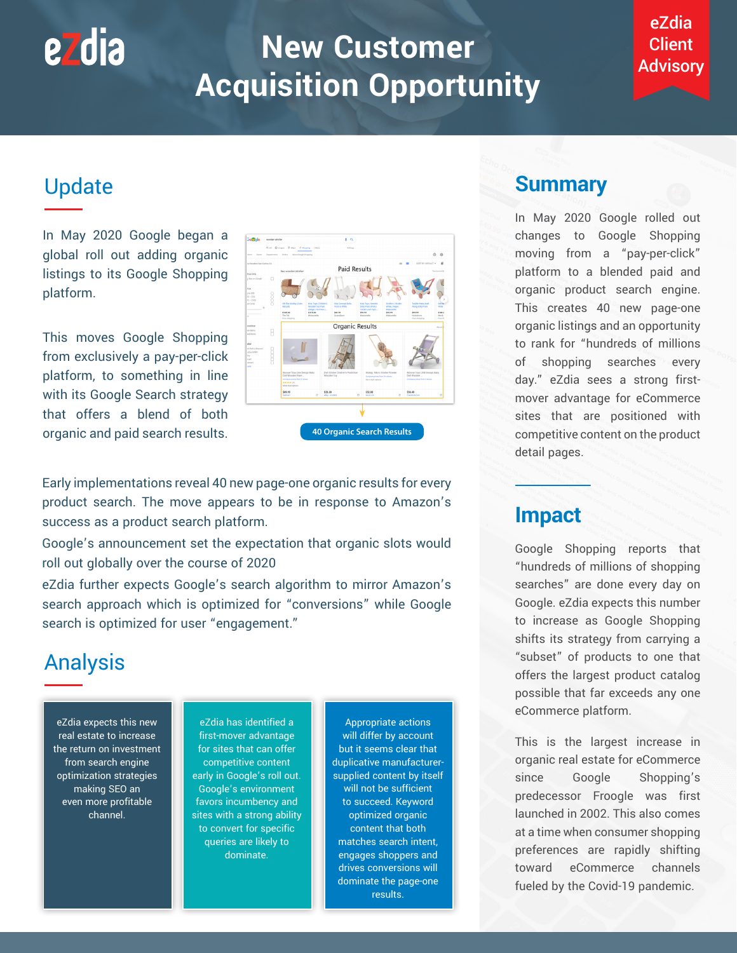# **New Customer Acquisition Opportunity**

#### eZdia Client Advisory

## Update

<u>ezdia</u>

In May 2020 Google began a global roll out adding organic listings to its Google Shopping platform.

This moves Google Shopping from exclusively a pay-per-click platform, to something in line with its Google Search strategy that offers a blend of both organic and paid search results.

| <b>Strutes</b><br>Home                                                                                         | Departments | G.All @ Images @ Maps @ Shopping 1 More<br>Orders<br>About Google Shopping                                                                                | Deftings                                                   |                                                                                                                                                                              | $^{\circ}$<br>ı<br>$\circledR$                                                                            |
|----------------------------------------------------------------------------------------------------------------|-------------|-----------------------------------------------------------------------------------------------------------------------------------------------------------|------------------------------------------------------------|------------------------------------------------------------------------------------------------------------------------------------------------------------------------------|-----------------------------------------------------------------------------------------------------------|
|                                                                                                                |             |                                                                                                                                                           |                                                            |                                                                                                                                                                              |                                                                                                           |
| our location: San Carlos, CA                                                                                   |             |                                                                                                                                                           | <b>Paid Results</b>                                        | m                                                                                                                                                                            | SORT BY: DEFAULT =<br>$\mathbf{r}$                                                                        |
| how only                                                                                                       |             | See wooden stroller                                                                                                                                       |                                                            |                                                                                                                                                                              | SponsoredQ                                                                                                |
| 2 Bay on Google<br>Yice:<br>030 535<br>$35 - 830$<br>$72 - 4100$<br>ver \$100<br>t.                            | o           | Oli Ella Strolley (Doko)<br>Kids Teys   Children's<br>Notaralt<br>Wooden Tor Pram<br>(Beige)   Don Noo  <br>\$135.00<br>\$175.00<br>The Tot<br>Maisonette | sas concept bubs<br>Practs in White<br>569.95<br>Scandborn | Kids Toys   Deretle<br><b>Bisile's   Stroler</b><br>Dolly Pram (Pink):<br>White, I Hape I<br>Tender Leaf Toys :<br>Maisonette<br>555.99<br>294.99<br>Masovette<br>Maisonetie | Toddler Hoba Walk<br>o ib<br>Along bolly Pram<br><b>Visit</b><br>299.99<br>\$180.0<br>Nordstrom<br>Nini & |
| $^{22}$                                                                                                        |             | Fore shipping                                                                                                                                             |                                                            |                                                                                                                                                                              | Free shipping<br>For st                                                                                   |
| <b>cedition</b>                                                                                                |             |                                                                                                                                                           | Organic Results                                            |                                                                                                                                                                              | About                                                                                                     |
| iny bens<br>ted tems                                                                                           |             |                                                                                                                                                           |                                                            |                                                                                                                                                                              |                                                                                                           |
| aller<br>ed Bath & Beyond<br>usboy BAILY<br><b>Bay</b><br><b>arget</b><br><b><i><u>Infrast</u></i></b><br>iobt |             | Moover Toys Line Design Baby<br>Doll Wooden Pram                                                                                                          | Doll Stroller Children's Pushchair<br>Wooden Toy           | Maileg - Micro Stroller Powder<br>Compare prices from 1+ stores                                                                                                              | Moover Toys LINE Design Baby<br>Doll Wooden                                                               |
|                                                                                                                |             | Compare prices from 2 stores<br><b>ARABA</b> (2)<br>More style-options                                                                                    |                                                            | More style cytions                                                                                                                                                           | Compare prices from 2 stores                                                                              |
|                                                                                                                |             | \$49.99<br>C5<br>manager                                                                                                                                  | \$36.00<br>elsy-usebbl<br>$^{12}$                          | \$32.00<br>$\Box$<br>NH ALOR                                                                                                                                                 | \$56.49<br>Commissions<br>Ø.                                                                              |

Early implementations reveal 40 new page-one organic results for every product search. The move appears to be in response to Amazon's success as a product search platform.

Google's announcement set the expectation that organic slots would roll out globally over the course of 2020

eZdia further expects Google's search algorithm to mirror Amazon's search approach which is optimized for "conversions" while Google search is optimized for user "engagement."

## Analysis

eZdia expects this new real estate to increase the return on investment from search engine optimization strategies making SEO an even more profitable channel.

eZdia has identified a first-mover advantage for sites that can offer competitive content early in Google's roll out. Google's environment favors incumbency and sites with a strong ability to convert for specific queries are likely to dominate.

Appropriate actions will differ by account but it seems clear that duplicative manufacturersupplied content by itself will not be sufficient to succeed. Keyword optimized organic content that both matches search intent, engages shoppers and drives conversions will dominate the page-one results.

#### **Summary**

In May 2020 Google rolled out changes to Google Shopping moving from a "pay-per-click" platform to a blended paid and organic product search engine. This creates 40 new page-one organic listings and an opportunity to rank for "hundreds of millions of shopping searches every day." eZdia sees a strong firstmover advantage for eCommerce sites that are positioned with competitive content on the product detail pages.

#### **Impact**

Google Shopping reports that "hundreds of millions of shopping searches" are done every day on Google. eZdia expects this number to increase as Google Shopping shifts its strategy from carrying a "subset" of products to one that offers the largest product catalog possible that far exceeds any one eCommerce platform.

This is the largest increase in organic real estate for eCommerce since Google Shopping's predecessor Froogle was first launched in 2002. This also comes at a time when consumer shopping preferences are rapidly shifting toward eCommerce channels fueled by the Covid-19 pandemic.